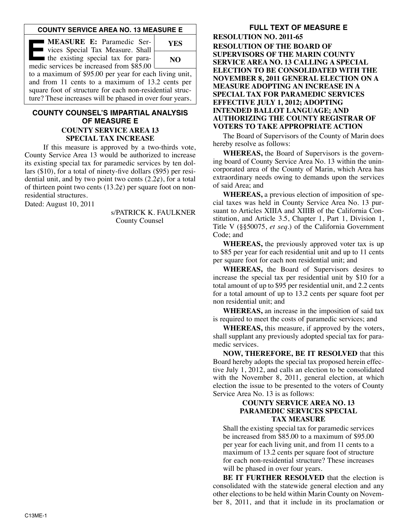## **COUNTY SERVICE AREA NO. 13 MEASURE E**

| <b>I MEASURE E:</b> Paramedic Ser-<br>vices Special Tax Measure. Shall         | YES |
|--------------------------------------------------------------------------------|-----|
| the existing special tax for para-<br>medic services be increased from \$85.00 | NO. |

to a maximum of \$95.00 per year for each living unit, and from 11 cents to a maximum of 13.2 cents per square foot of structure for each non-residential structure? These increases will be phased in over four years.

# **COUNTY COUNSEL'S IMPARTIAL ANALYSIS OF MEASURE E COUNTY SERVICE AREA 13 SPECIAL TAX INCREASE**

If this measure is approved by a two-thirds vote, County Service Area 13 would be authorized to increase its existing special tax for paramedic services by ten dollars (\$10), for a total of ninety-five dollars (\$95) per residential unit, and by two point two cents  $(2.2\varphi)$ , for a total of thirteen point two cents  $(13.2¢)$  per square foot on nonresidential structures.

Dated: August 10, 2011

s/PATRICK K. FAULKNER County Counsel

# **FULL TEXT OF MEASURE E**

**RESOLUTION NO. 2011-65 RESOLUTION OF THE BOARD OF SUPERVISORS OF THE MARIN COUNTY SERVICE AREA NO. 13 CALLING A SPECIAL ELECTION TO BE CONSOLIDATED WITH THE NOVEMBER 8, 2011 GENERAL ELECTION ON A MEASURE ADOPTING AN INCREASE IN A SPECIAL TAX FOR PARAMEDIC SERVICES EFFECTIVE JULY 1, 2012; ADOPTING INTENDED BALLOT LANGUAGE; AND AUTHORIZING THE COUNTY REGISTRAR OF VOTERS TO TAKE APPROPRIATE ACTION**

The Board of Supervisors of the County of Marin does hereby resolve as follows:

**WHEREAS,** the Board of Supervisors is the governing board of County Service Area No. 13 within the unincorporated area of the County of Marin, which Area has extraordinary needs owing to demands upon the services of said Area; and

**WHEREAS,** a previous election of imposition of special taxes was held in County Service Area No. 13 pursuant to Articles XIIIA and XIIIB of the California Constitution, and Article 3.5, Chapter 1, Part 1, Division 1, Title V (§§50075, *et seq*.) of the California Government Code; and

**WHEREAS,** the previously approved voter tax is up to \$85 per year for each residential unit and up to 11 cents per square foot for each non residential unit; and

**WHEREAS,** the Board of Supervisors desires to increase the special tax per residential unit by \$10 for a total amount of up to \$95 per residential unit, and 2.2 cents for a total amount of up to 13.2 cents per square foot per non residential unit; and

**WHEREAS,** an increase in the imposition of said tax is required to meet the costs of paramedic services; and

**WHEREAS,** this measure, if approved by the voters, shall supplant any previously adopted special tax for paramedic services.

**NOW, THEREFORE, BE IT RESOLVED** that this Board hereby adopts the special tax proposed herein effective July 1, 2012, and calls an election to be consolidated with the November 8, 2011, general election, at which election the issue to be presented to the voters of County Service Area No. 13 is as follows:

#### **COUNTY SERVICE AREA NO. 13 PARAMEDIC SERVICES SPECIAL TAX MEASURE**

Shall the existing special tax for paramedic services be increased from \$85.00 to a maximum of \$95.00 per year for each living unit, and from 11 cents to a maximum of 13.2 cents per square foot of structure for each non-residential structure? These increases will be phased in over four years.

**BE IT FURTHER RESOLVED** that the election is consolidated with the statewide general election and any other elections to be held within Marin County on Novem ber 8, 2011, and that it include in its proclamation or